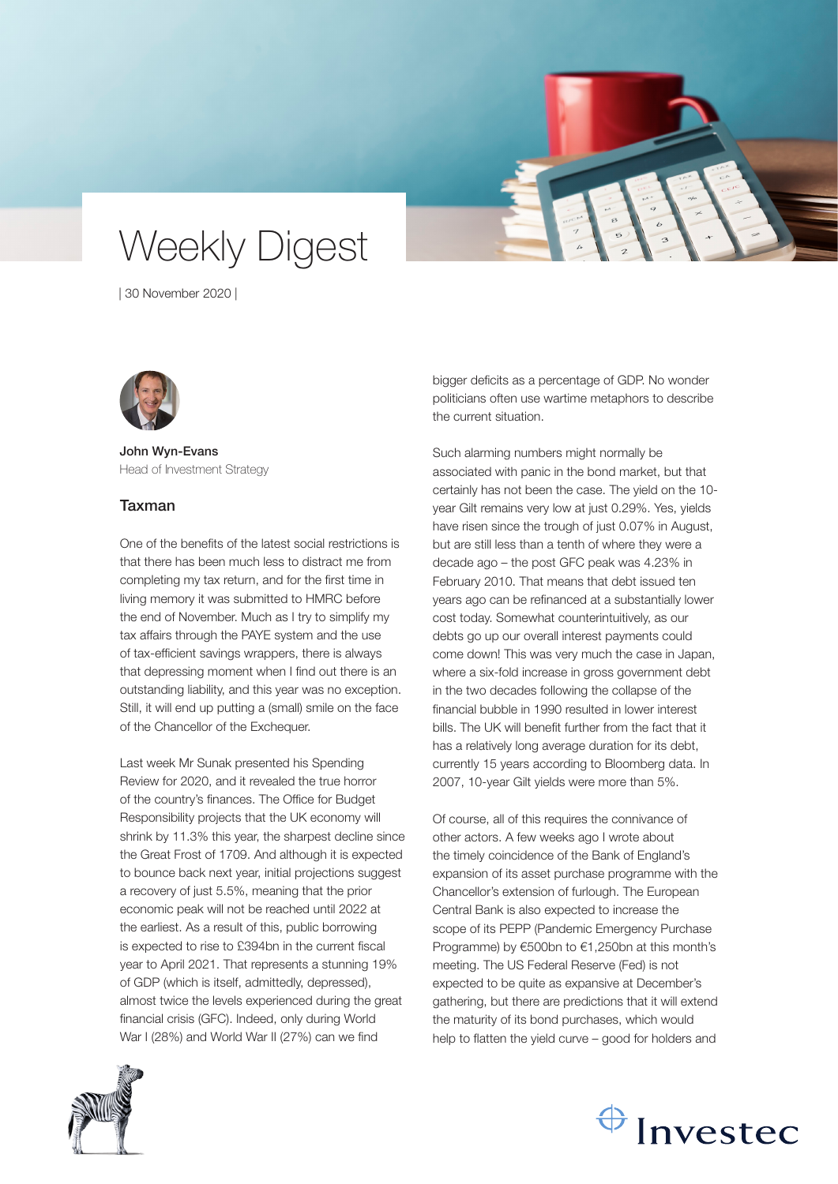# Weekly Digest

| 30 November 2020 |



John Wyn-Evans Head of Investment Strategy

# Taxman

One of the benefits of the latest social restrictions is that there has been much less to distract me from completing my tax return, and for the first time in living memory it was submitted to HMRC before the end of November. Much as I try to simplify my tax affairs through the PAYE system and the use of tax-efficient savings wrappers, there is always that depressing moment when I find out there is an outstanding liability, and this year was no exception. Still, it will end up putting a (small) smile on the face of the Chancellor of the Exchequer.

Last week Mr Sunak presented his Spending Review for 2020, and it revealed the true horror of the country's finances. The Office for Budget Responsibility projects that the UK economy will shrink by 11.3% this year, the sharpest decline since the Great Frost of 1709. And although it is expected to bounce back next year, initial projections suggest a recovery of just 5.5%, meaning that the prior economic peak will not be reached until 2022 at the earliest. As a result of this, public borrowing is expected to rise to £394bn in the current fiscal year to April 2021. That represents a stunning 19% of GDP (which is itself, admittedly, depressed), almost twice the levels experienced during the great financial crisis (GFC). Indeed, only during World War I (28%) and World War II (27%) can we find

bigger deficits as a percentage of GDP. No wonder politicians often use wartime metaphors to describe the current situation.

Such alarming numbers might normally be associated with panic in the bond market, but that certainly has not been the case. The yield on the 10 year Gilt remains very low at just 0.29%. Yes, yields have risen since the trough of just 0.07% in August, but are still less than a tenth of where they were a decade ago – the post GFC peak was 4.23% in February 2010. That means that debt issued ten years ago can be refinanced at a substantially lower cost today. Somewhat counterintuitively, as our debts go up our overall interest payments could come down! This was very much the case in Japan, where a six-fold increase in gross government debt in the two decades following the collapse of the financial bubble in 1990 resulted in lower interest bills. The UK will benefit further from the fact that it has a relatively long average duration for its debt, currently 15 years according to Bloomberg data. In 2007, 10-year Gilt yields were more than 5%.

Of course, all of this requires the connivance of other actors. A few weeks ago I wrote about the timely coincidence of the Bank of England's expansion of its asset purchase programme with the Chancellor's extension of furlough. The European Central Bank is also expected to increase the scope of its PEPP (Pandemic Emergency Purchase Programme) by €500bn to €1,250bn at this month's meeting. The US Federal Reserve (Fed) is not expected to be quite as expansive at December's gathering, but there are predictions that it will extend the maturity of its bond purchases, which would help to flatten the yield curve – good for holders and



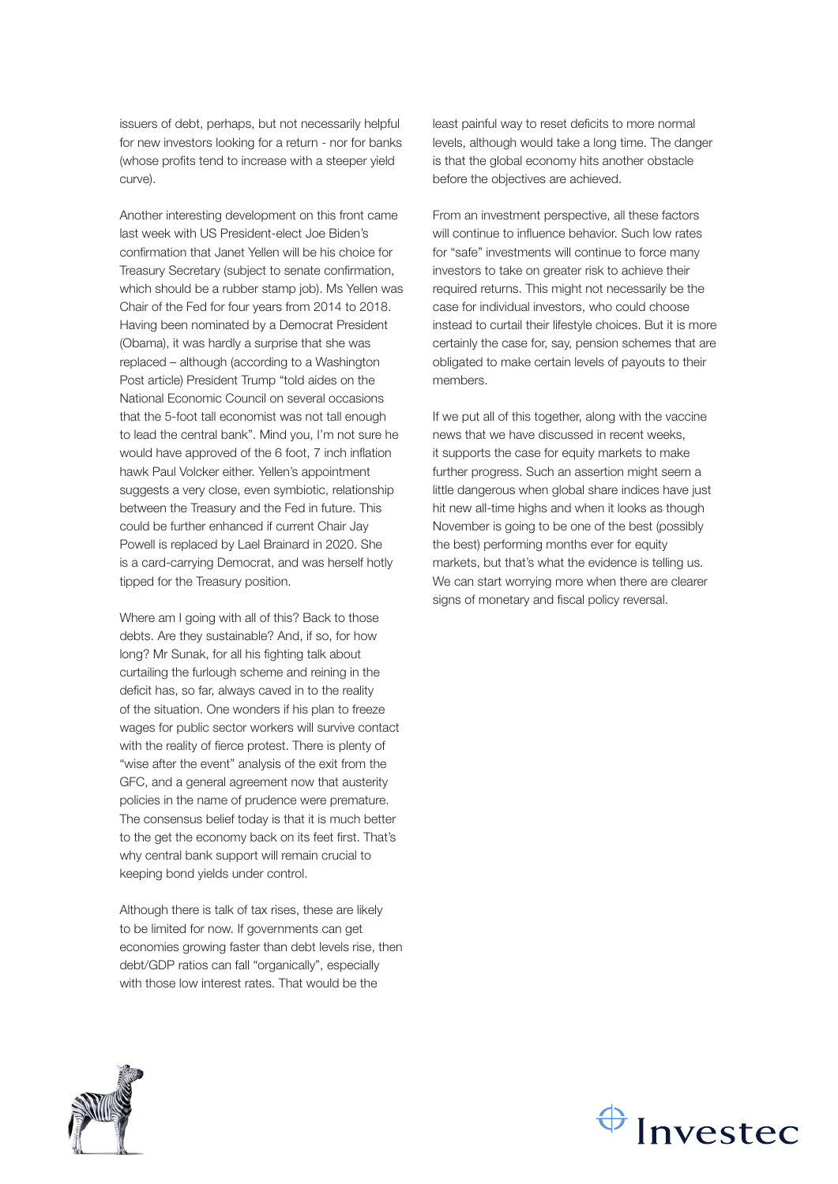issuers of debt, perhaps, but not necessarily helpful for new investors looking for a return - nor for banks (whose profits tend to increase with a steeper yield curve).

Another interesting development on this front came last week with US President-elect Joe Biden's confirmation that Janet Yellen will be his choice for Treasury Secretary (subject to senate confirmation, which should be a rubber stamp job). Ms Yellen was Chair of the Fed for four years from 2014 to 2018. Having been nominated by a Democrat President (Obama), it was hardly a surprise that she was replaced – although (according to a Washington Post article) President Trump "told aides on the National Economic Council on several occasions that the 5-foot tall economist was not tall enough to lead the central bank". Mind you, I'm not sure he would have approved of the 6 foot, 7 inch inflation hawk Paul Volcker either. Yellen's appointment suggests a very close, even symbiotic, relationship between the Treasury and the Fed in future. This could be further enhanced if current Chair Jay Powell is replaced by Lael Brainard in 2020. She is a card-carrying Democrat, and was herself hotly tipped for the Treasury position.

Where am I going with all of this? Back to those debts. Are they sustainable? And, if so, for how long? Mr Sunak, for all his fighting talk about curtailing the furlough scheme and reining in the deficit has, so far, always caved in to the reality of the situation. One wonders if his plan to freeze wages for public sector workers will survive contact with the reality of fierce protest. There is plenty of "wise after the event" analysis of the exit from the GFC, and a general agreement now that austerity policies in the name of prudence were premature. The consensus belief today is that it is much better to the get the economy back on its feet first. That's why central bank support will remain crucial to keeping bond yields under control.

Although there is talk of tax rises, these are likely to be limited for now. If governments can get economies growing faster than debt levels rise, then debt/GDP ratios can fall "organically", especially with those low interest rates. That would be the

least painful way to reset deficits to more normal levels, although would take a long time. The danger is that the global economy hits another obstacle before the objectives are achieved.

From an investment perspective, all these factors will continue to influence behavior. Such low rates for "safe" investments will continue to force many investors to take on greater risk to achieve their required returns. This might not necessarily be the case for individual investors, who could choose instead to curtail their lifestyle choices. But it is more certainly the case for, say, pension schemes that are obligated to make certain levels of payouts to their members.

If we put all of this together, along with the vaccine news that we have discussed in recent weeks, it supports the case for equity markets to make further progress. Such an assertion might seem a little dangerous when global share indices have just hit new all-time highs and when it looks as though November is going to be one of the best (possibly the best) performing months ever for equity markets, but that's what the evidence is telling us. We can start worrying more when there are clearer signs of monetary and fiscal policy reversal.